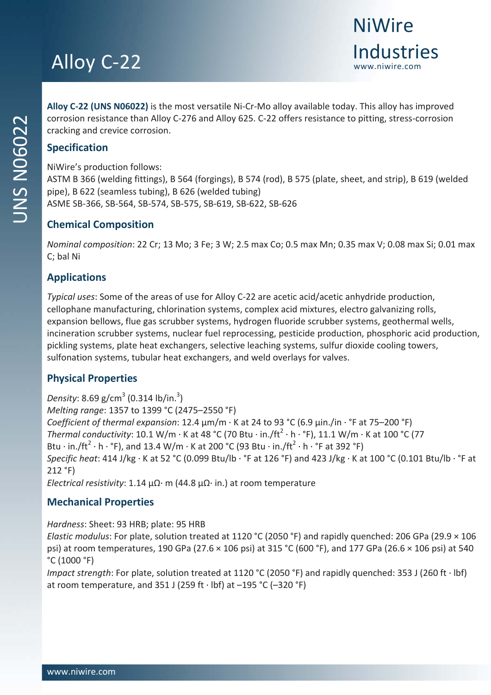**Alloy C‐22 (UNS N06022)** is the most versatile Ni‐Cr‐Mo alloy available today. This alloy has improved corrosion resistance than Alloy C‐276 and Alloy 625. C‐22 offers resistance to pitting, stress‐corrosion cracking and crevice corrosion.

NiWire's production follows:

ASTM B 366 (welding fittings), B 564 (forgings), B 574 (rod), B 575 (plate, sheet, and strip), B 619 (welded pipe), B 622 (seamless tubing), B 626 (welded tubing) ASME SB‐366, SB‐564, SB‐574, SB‐575, SB‐619, SB‐622, SB‐626

## **Chemical Composition**

*Nominal composition*: 22 Cr; 13 Mo; 3 Fe; 3 W; 2.5 max Co; 0.5 max Mn; 0.35 max V; 0.08 max Si; 0.01 max C; bal Ni

### **Applications**

*Typical uses*: Some of the areas of use for Alloy C‐22 are acetic acid/acetic anhydride production, cellophane manufacturing, chlorination systems, complex acid mixtures, electro galvanizing rolls, expansion bellows, flue gas scrubber systems, hydrogen fluoride scrubber systems, geothermal wells, incineration scrubber systems, nuclear fuel reprocessing, pesticide production, phosphoric acid production, pickling systems, plate heat exchangers, selective leaching systems, sulfur dioxide cooling towers, sulfonation systems, tubular heat exchangers, and weld overlays for valves.

# **Physical Properties**

Density: 8.69 g/cm<sup>3</sup> (0.314 lb/in.<sup>3</sup>) *Melting range*: 1357 to 1399 °C (2475–2550 °F) *Coefficient of thermal expansion*: 12.4 μm/m ∙ K at 24 to 93 °C (6.9 μin./in ∙ °F at 75–200 °F) *Thermal conductivity*: 10.1 W/m ⋅ K at 48 °C (70 Btu ⋅ in./ft<sup>2</sup> ⋅ h ⋅ °F), 11.1 W/m ⋅ K at 100 °C (77 Btu ⋅ in./ft<sup>2</sup> ⋅ h ⋅ °F), and 13.4 W/m ⋅ K at 200 °C (93 Btu ⋅ in./ft<sup>2</sup> ⋅ h ⋅ °F at 392 °F) *Specific heat*: 414 J/kg ∙ K at 52 °C (0.099 Btu/lb ∙ °F at 126 °F) and 423 J/kg ∙ K at 100 °C (0.101 Btu/lb ∙ °F at 212 °F) *Electrical resistivity*: 1.14 μΩ∙ m (44.8 μΩ∙ in.) at room temperature

# **Mechanical Properties**

*Hardness*: Sheet: 93 HRB; plate: 95 HRB

*Elastic modulus*: For plate, solution treated at 1120 °C (2050 °F) and rapidly quenched: 206 GPa (29.9 × 106 psi) at room temperatures, 190 GPa (27.6 × 106 psi) at 315 °C (600 °F), and 177 GPa (26.6 × 106 psi) at 540 °C (1000 °F)

*Impact strength*: For plate, solution treated at 1120 °C (2050 °F) and rapidly quenched: 353 J (260 ft ∙ lbf) at room temperature, and 351 J (259 ft ∙ lbf) at –195 °C (–320 °F)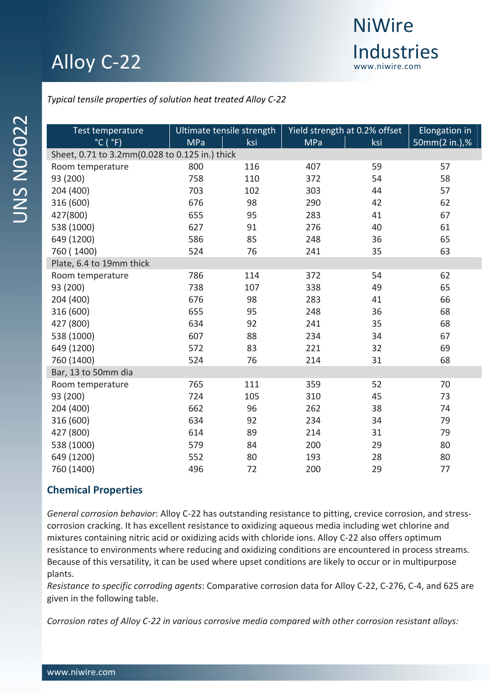

I

I

*Typical tensile properties of solution heat treated Alloy C‐22*

| Test temperature                               | Ultimate tensile strength |     | Yield strength at 0.2% offset |     | Elongation in |  |  |  |  |  |  |
|------------------------------------------------|---------------------------|-----|-------------------------------|-----|---------------|--|--|--|--|--|--|
| $^{\circ}$ C ( $^{\circ}$ F)                   | <b>MPa</b>                | ksi | <b>MPa</b>                    | ksi | 50mm(2 in.),% |  |  |  |  |  |  |
| Sheet, 0.71 to 3.2mm(0.028 to 0.125 in.) thick |                           |     |                               |     |               |  |  |  |  |  |  |
| Room temperature                               | 800                       | 116 | 407                           | 59  | 57            |  |  |  |  |  |  |
| 93 (200)                                       | 758                       | 110 | 372                           | 54  | 58            |  |  |  |  |  |  |
| 204 (400)                                      | 703                       | 102 | 303                           | 44  | 57            |  |  |  |  |  |  |
| 316 (600)                                      | 676                       | 98  | 290                           | 42  | 62            |  |  |  |  |  |  |
| 427(800)                                       | 655                       | 95  | 283                           | 41  | 67            |  |  |  |  |  |  |
| 538 (1000)                                     | 627                       | 91  | 276                           | 40  | 61            |  |  |  |  |  |  |
| 649 (1200)                                     | 586                       | 85  | 248                           | 36  | 65            |  |  |  |  |  |  |
| 760 (1400)                                     | 524                       | 76  | 241                           | 35  | 63            |  |  |  |  |  |  |
| Plate, 6.4 to 19mm thick                       |                           |     |                               |     |               |  |  |  |  |  |  |
| Room temperature                               | 786                       | 114 | 372                           | 54  | 62            |  |  |  |  |  |  |
| 93 (200)                                       | 738                       | 107 | 338                           | 49  | 65            |  |  |  |  |  |  |
| 204 (400)                                      | 676                       | 98  | 283                           | 41  | 66            |  |  |  |  |  |  |
| 316 (600)                                      | 655                       | 95  | 248                           | 36  | 68            |  |  |  |  |  |  |
| 427 (800)                                      | 634                       | 92  | 241                           | 35  | 68            |  |  |  |  |  |  |
| 538 (1000)                                     | 607                       | 88  | 234                           | 34  | 67            |  |  |  |  |  |  |
| 649 (1200)                                     | 572                       | 83  | 221                           | 32  | 69            |  |  |  |  |  |  |
| 760 (1400)                                     | 524                       | 76  | 214                           | 31  | 68            |  |  |  |  |  |  |
| Bar, 13 to 50mm dia                            |                           |     |                               |     |               |  |  |  |  |  |  |
| Room temperature                               | 765                       | 111 | 359                           | 52  | 70            |  |  |  |  |  |  |
| 93 (200)                                       | 724                       | 105 | 310                           | 45  | 73            |  |  |  |  |  |  |
| 204 (400)                                      | 662                       | 96  | 262                           | 38  | 74            |  |  |  |  |  |  |
| 316 (600)                                      | 634                       | 92  | 234                           | 34  | 79            |  |  |  |  |  |  |
| 427 (800)                                      | 614                       | 89  | 214                           | 31  | 79            |  |  |  |  |  |  |
| 538 (1000)                                     | 579                       | 84  | 200                           | 29  | 80            |  |  |  |  |  |  |
| 649 (1200)                                     | 552                       | 80  | 193                           | 28  | 80            |  |  |  |  |  |  |
| 760 (1400)                                     | 496                       | 72  | 200                           | 29  | 77            |  |  |  |  |  |  |

### **Chemical Properties**

*General corrosion behavior*: Alloy C‐22 has outstanding resistance to pitting, crevice corrosion, and stress‐ corrosion cracking. It has excellent resistance to oxidizing aqueous media including wet chlorine and mixtures containing nitric acid or oxidizing acids with chloride ions. Alloy C‐22 also offers optimum resistance to environments where reducing and oxidizing conditions are encountered in process streams. Because of this versatility, it can be used where upset conditions are likely to occur or in multipurpose plants.

*Resistance to specific corroding agents*: Comparative corrosion data for Alloy C‐22, C‐276, C‐4, and 625 are given in the following table.

*Corrosion rates of Alloy C‐22 in various corrosive media compared with other corrosion resistant alloys:*